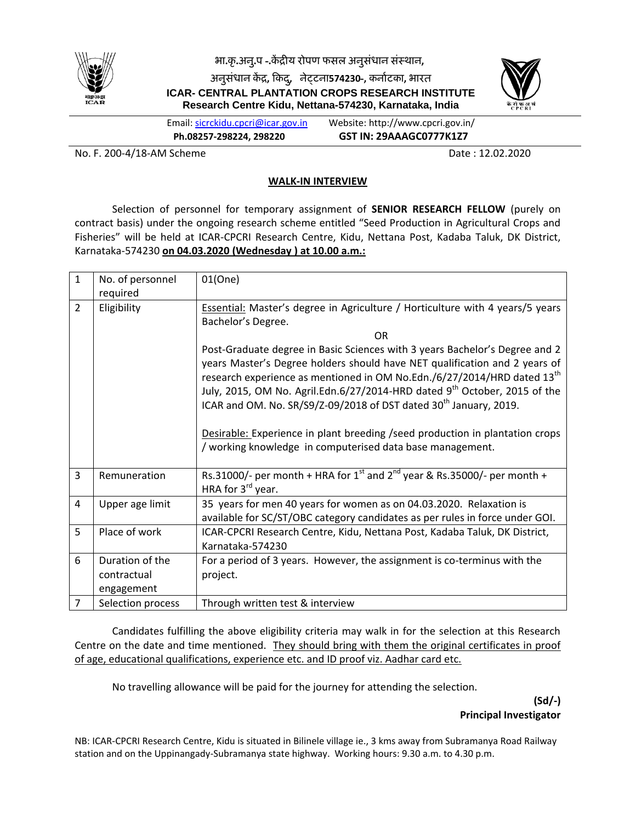

**भा.कृ.अनु.ऩ -.कें द्रीय रोऩण पसऱ अनुसंधान संस्थान,**

**अनुसंधान कें द्र, ककद,ु नेट्टना574230-, कनााटका, भारत ICAR- CENTRAL PLANTATION CROPS RESEARCH INSTITUTE Research Centre Kidu, Nettana-574230, Karnataka, India**



Email: [sicrckidu.cpcri@icar.gov.in](mailto:cpcrirckidu@gmail.com) Website: http://www.cpcri.gov.in/ **Ph.08257-298224, 298220 GST IN: 29AAAGC0777K1Z7**

No. F. 200-4/18-AM Scheme **Date : 12.02.2020** 

## **WALK-IN INTERVIEW**

Selection of personnel for temporary assignment of **SENIOR RESEARCH FELLOW** (purely on contract basis) under the ongoing research scheme entitled "Seed Production in Agricultural Crops and Fisheries" will be held at ICAR-CPCRI Research Centre, Kidu, Nettana Post, Kadaba Taluk, DK District, Karnataka-574230 **on 04.03.2020 (Wednesday ) at 10.00 a.m.:**

| $\mathbf{1}$   | No. of personnel  | 01(One)                                                                                                                                                           |
|----------------|-------------------|-------------------------------------------------------------------------------------------------------------------------------------------------------------------|
|                | required          |                                                                                                                                                                   |
| $\overline{2}$ | Eligibility       | <b>Essential:</b> Master's degree in Agriculture / Horticulture with 4 years/5 years                                                                              |
|                |                   | Bachelor's Degree.                                                                                                                                                |
|                |                   | <b>OR</b>                                                                                                                                                         |
|                |                   | Post-Graduate degree in Basic Sciences with 3 years Bachelor's Degree and 2                                                                                       |
|                |                   | years Master's Degree holders should have NET qualification and 2 years of<br>research experience as mentioned in OM No.Edn./6/27/2014/HRD dated 13 <sup>th</sup> |
|                |                   | July, 2015, OM No. Agril.Edn.6/27/2014-HRD dated 9 <sup>th</sup> October, 2015 of the                                                                             |
|                |                   | ICAR and OM. No. SR/S9/Z-09/2018 of DST dated 30 <sup>th</sup> January, 2019.                                                                                     |
|                |                   |                                                                                                                                                                   |
|                |                   |                                                                                                                                                                   |
|                |                   | Desirable: Experience in plant breeding / seed production in plantation crops                                                                                     |
|                |                   | / working knowledge in computerised data base management.                                                                                                         |
|                |                   |                                                                                                                                                                   |
| 3              | Remuneration      | Rs.31000/- per month + HRA for $1^{st}$ and $2^{nd}$ year & Rs.35000/- per month +<br>HRA for 3 <sup>rd</sup> year.                                               |
| $\overline{4}$ | Upper age limit   | 35 years for men 40 years for women as on 04.03.2020. Relaxation is                                                                                               |
|                |                   | available for SC/ST/OBC category candidates as per rules in force under GOI.                                                                                      |
| 5              | Place of work     | ICAR-CPCRI Research Centre, Kidu, Nettana Post, Kadaba Taluk, DK District,                                                                                        |
|                |                   | Karnataka-574230                                                                                                                                                  |
| 6              | Duration of the   | For a period of 3 years. However, the assignment is co-terminus with the                                                                                          |
|                | contractual       | project.                                                                                                                                                          |
|                | engagement        |                                                                                                                                                                   |
| $\overline{7}$ | Selection process | Through written test & interview                                                                                                                                  |

Candidates fulfilling the above eligibility criteria may walk in for the selection at this Research Centre on the date and time mentioned. They should bring with them the original certificates in proof of age, educational qualifications, experience etc. and ID proof viz. Aadhar card etc.

No travelling allowance will be paid for the journey for attending the selection.

**(Sd/-) Principal Investigator**

NB: ICAR-CPCRI Research Centre, Kidu is situated in Bilinele village ie., 3 kms away from Subramanya Road Railway station and on the Uppinangady-Subramanya state highway. Working hours: 9.30 a.m. to 4.30 p.m.